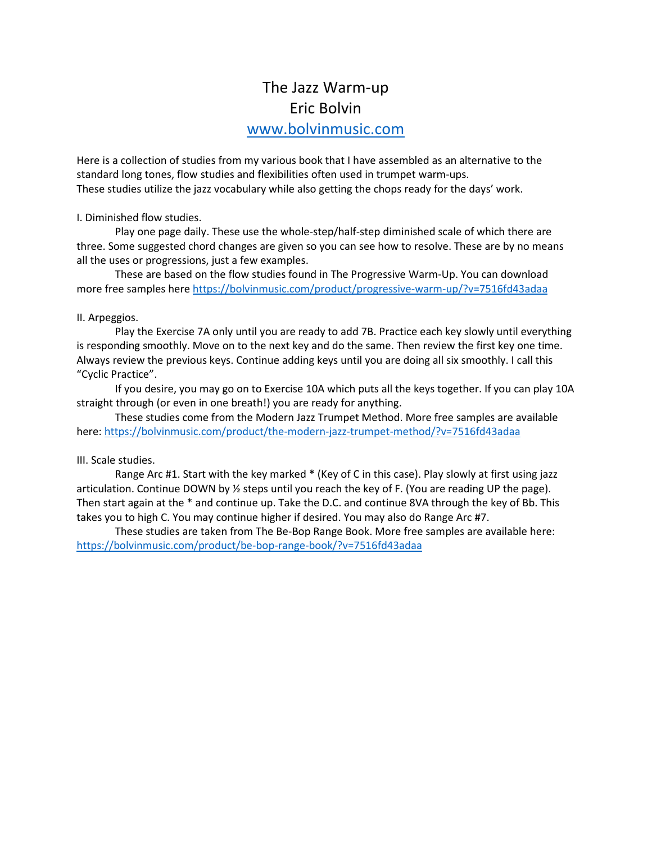# The Jazz Warm-up Eric Bolvin

## [www.bolvinmusic.com](https://bolvinmusic.com/product-category/publications/?v=7516fd43adaa)

Here is a collection of studies from my various book that I have assembled as an alternative to the standard long tones, flow studies and flexibilities often used in trumpet warm-ups. These studies utilize the jazz vocabulary while also getting the chops ready for the days' work.

### I. Diminished flow studies.

 Play one page daily. These use the whole-step/half-step diminished scale of which there are three. Some suggested chord changes are given so you can see how to resolve. These are by no means all the uses or progressions, just a few examples.

 These are based on the flow studies found in The Progressive Warm-Up. You can download more free samples here<https://bolvinmusic.com/product/progressive-warm-up/?v=7516fd43adaa>

#### II. Arpeggios.

 Play the Exercise 7A only until you are ready to add 7B. Practice each key slowly until everything is responding smoothly. Move on to the next key and do the same. Then review the first key one time. Always review the previous keys. Continue adding keys until you are doing all six smoothly. I call this "Cyclic Practice".

 If you desire, you may go on to Exercise 10A which puts all the keys together. If you can play 10A straight through (or even in one breath!) you are ready for anything.

 These studies come from the Modern Jazz Trumpet Method. More free samples are available here:<https://bolvinmusic.com/product/the-modern-jazz-trumpet-method/?v=7516fd43adaa>

### III. Scale studies.

 Range Arc #1. Start with the key marked \* (Key of C in this case). Play slowly at first using jazz articulation. Continue DOWN by ½ steps until you reach the key of F. (You are reading UP the page). Then start again at the \* and continue up. Take the D.C. and continue 8VA through the key of Bb. This takes you to high C. You may continue higher if desired. You may also do Range Arc #7.

 These studies are taken from The Be-Bop Range Book. More free samples are available here: <https://bolvinmusic.com/product/be-bop-range-book/?v=7516fd43adaa>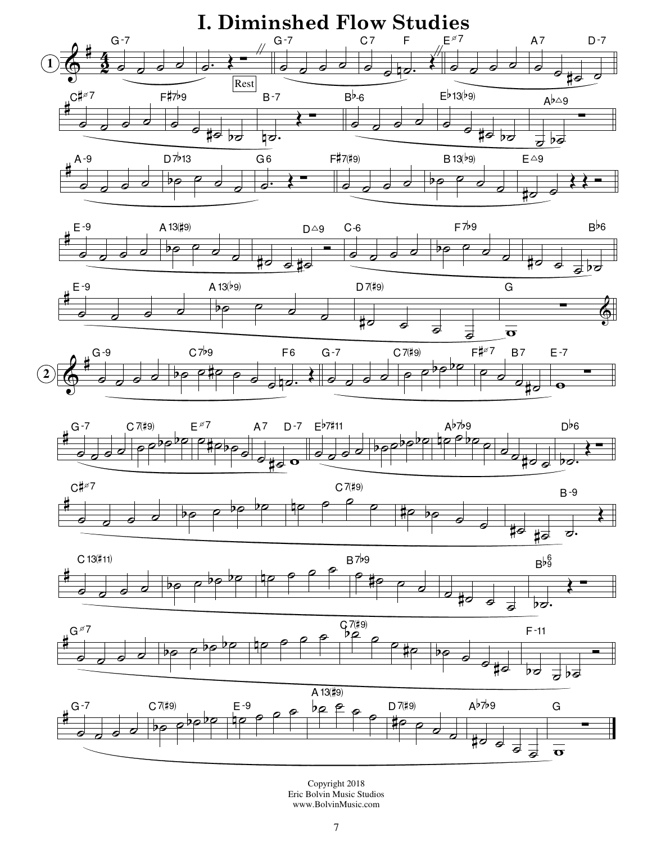

Copyright 2018 Eric Bolvin Music Studios www.BolvinMusic.com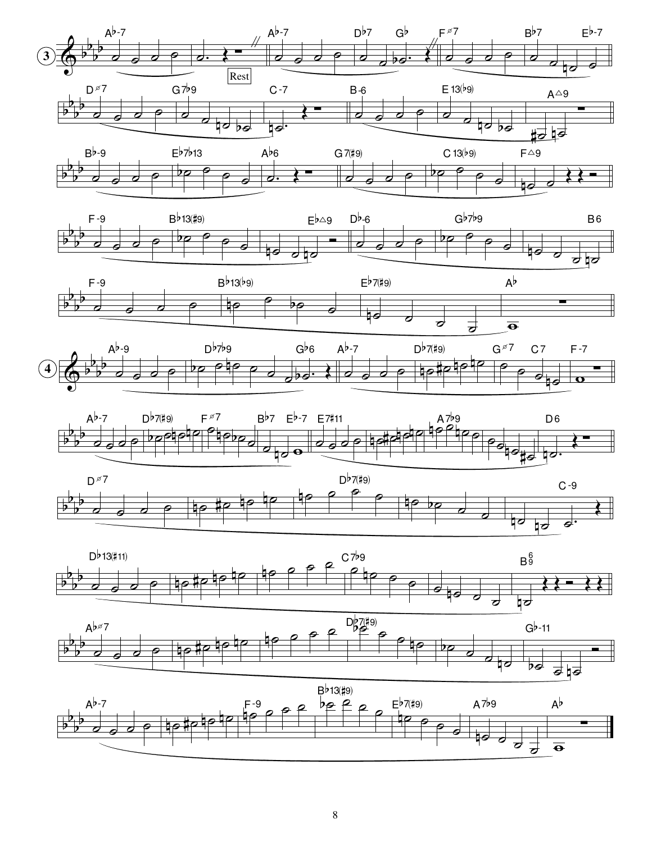

8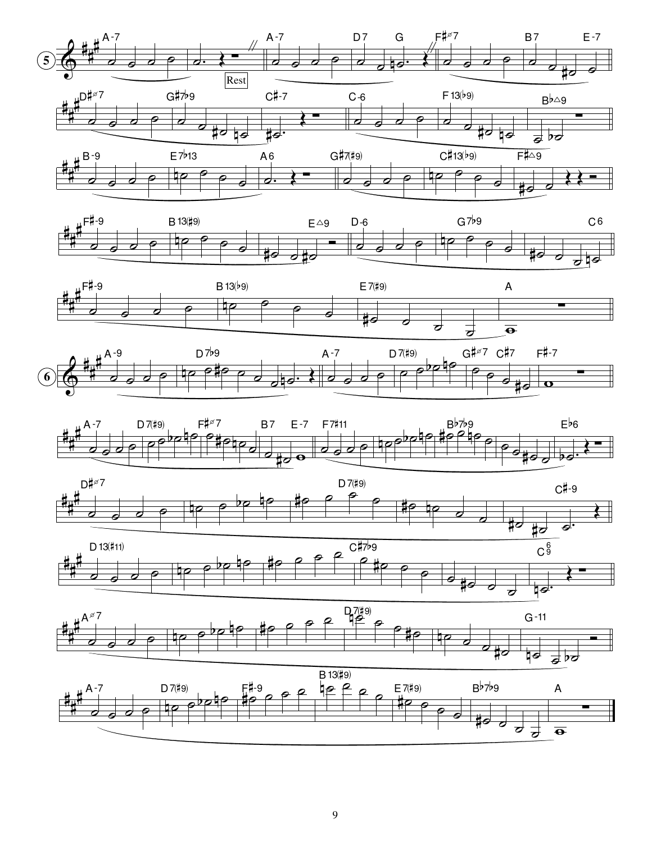















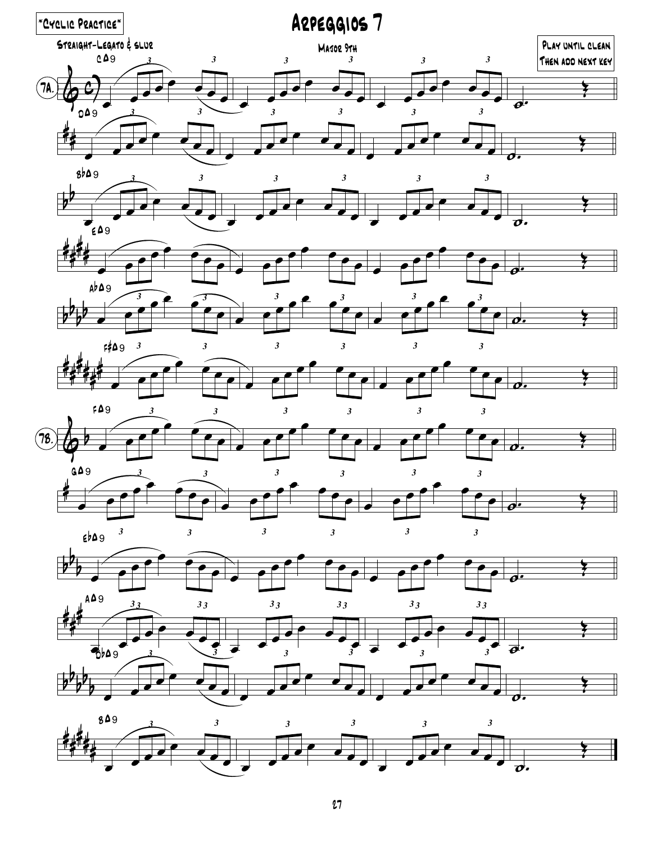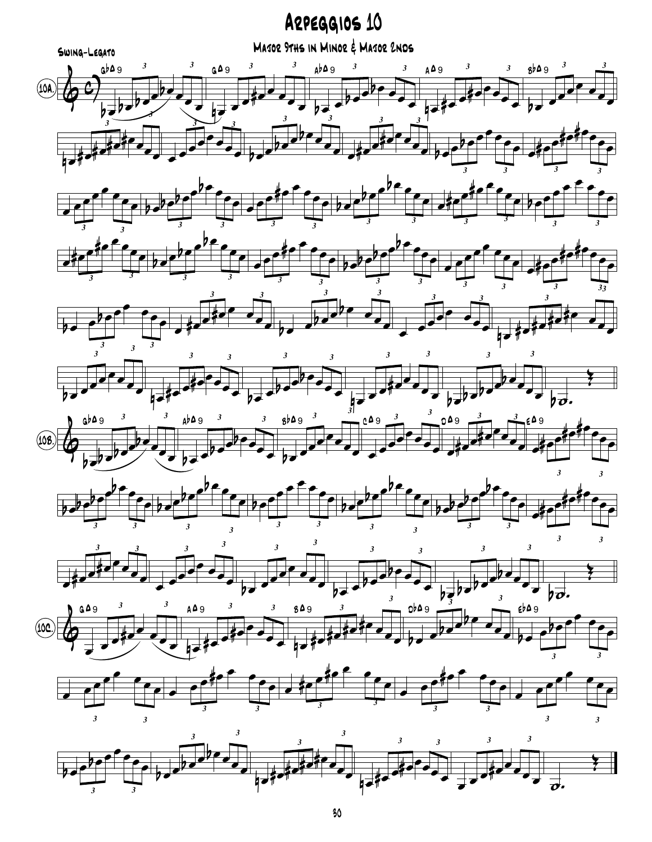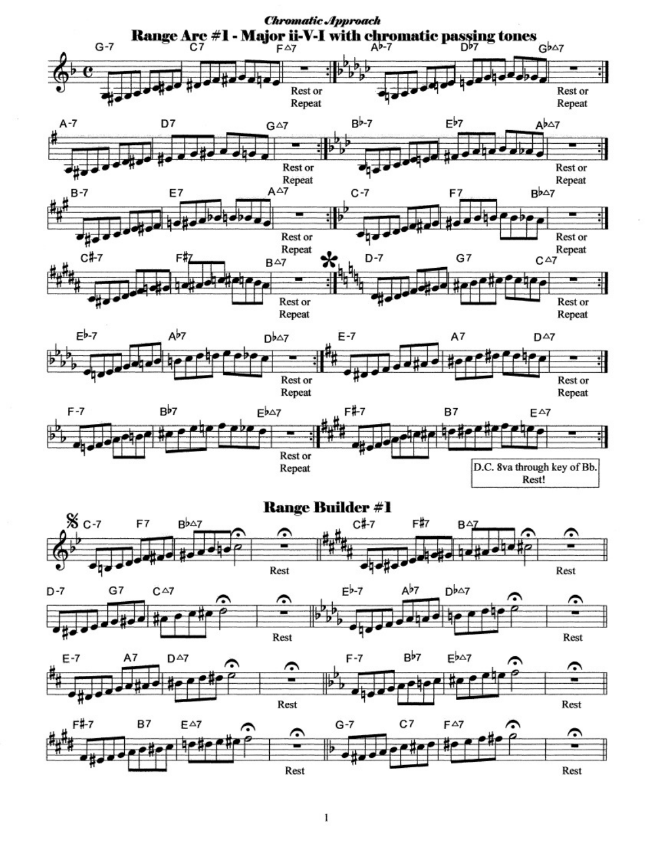